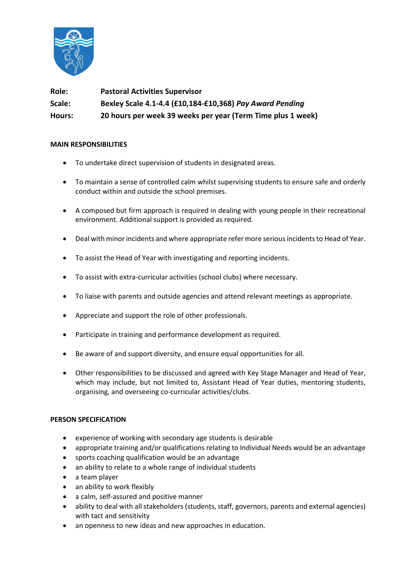

**Role: Pastoral Activities Supervisor Scale: Bexley Scale 4.1-4.4 (£10,184-£10,368)** *Pay Award Pending*  **Hours: 20 hours per week 39 weeks per year (Term Time plus 1 week)**

## **MAIN RESPONSIBILITIES**

- To undertake direct supervision of students in designated areas.
- To maintain a sense of controlled calm whilst supervising students to ensure safe and orderly conduct within and outside the school premises.
- A composed but firm approach is required in dealing with young people in their recreational environment. Additional support is provided as required.
- Deal with minor incidents and where appropriate refer more serious incidents to Head of Year.
- To assist the Head of Year with investigating and reporting incidents.
- To assist with extra-curricular activities (school clubs) where necessary.
- To liaise with parents and outside agencies and attend relevant meetings as appropriate.
- Appreciate and support the role of other professionals.
- Participate in training and performance development as required.
- Be aware of and support diversity, and ensure equal opportunities for all.
- Other responsibilities to be discussed and agreed with Key Stage Manager and Head of Year, which may include, but not limited to, Assistant Head of Year duties, mentoring students, organising, and overseeing co-curricular activities/clubs.

## **PERSON SPECIFICATION**

- experience of working with secondary age students is desirable
- appropriate training and/or qualifications relating to Individual Needs would be an advantage
- sports coaching qualification would be an advantage
- an ability to relate to a whole range of individual students
- a team player
- an ability to work flexibly
- a calm, self-assured and positive manner
- ability to deal with all stakeholders (students, staff, governors, parents and external agencies) with tact and sensitivity
- an openness to new ideas and new approaches in education.